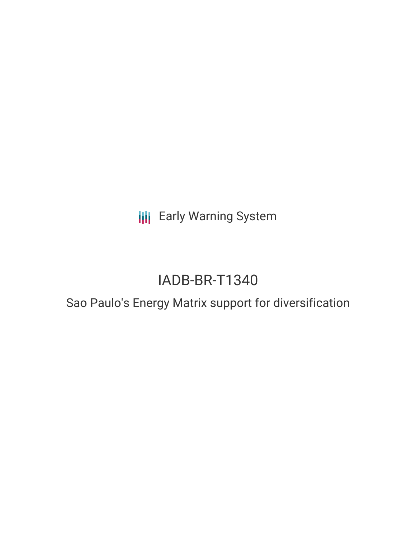**III** Early Warning System

# IADB-BR-T1340

### Sao Paulo's Energy Matrix support for diversification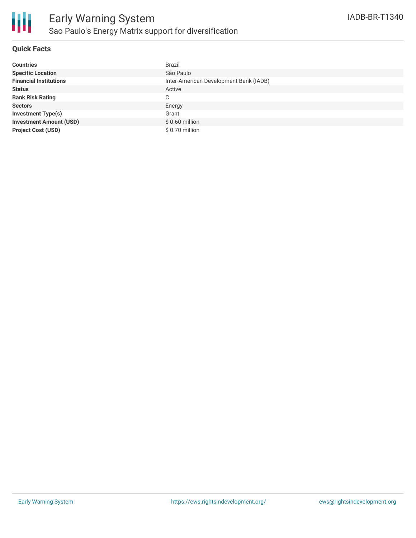

#### **Quick Facts**

| <b>Countries</b>               | <b>Brazil</b>                          |
|--------------------------------|----------------------------------------|
| <b>Specific Location</b>       | São Paulo                              |
| <b>Financial Institutions</b>  | Inter-American Development Bank (IADB) |
| <b>Status</b>                  | Active                                 |
| <b>Bank Risk Rating</b>        | C                                      |
| <b>Sectors</b>                 | Energy                                 |
| <b>Investment Type(s)</b>      | Grant                                  |
| <b>Investment Amount (USD)</b> | $$0.60$ million                        |
| <b>Project Cost (USD)</b>      | $$0.70$ million                        |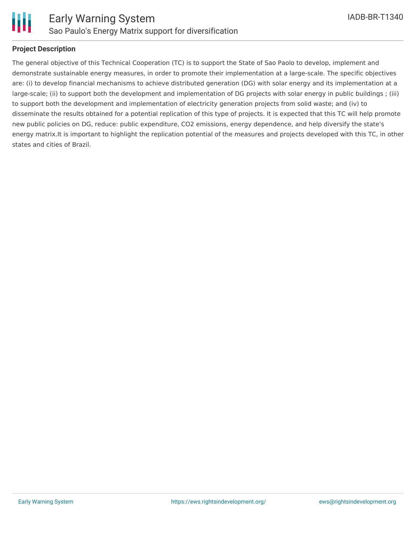

#### **Project Description**

The general objective of this Technical Cooperation (TC) is to support the State of Sao Paolo to develop, implement and demonstrate sustainable energy measures, in order to promote their implementation at a large-scale. The specific objectives are: (i) to develop financial mechanisms to achieve distributed generation (DG) with solar energy and its implementation at a large-scale; (ii) to support both the development and implementation of DG projects with solar energy in public buildings ; (iii) to support both the development and implementation of electricity generation projects from solid waste; and (iv) to disseminate the results obtained for a potential replication of this type of projects. It is expected that this TC will help promote new public policies on DG, reduce: public expenditure, CO2 emissions, energy dependence, and help diversify the state's energy matrix.It is important to highlight the replication potential of the measures and projects developed with this TC, in other states and cities of Brazil.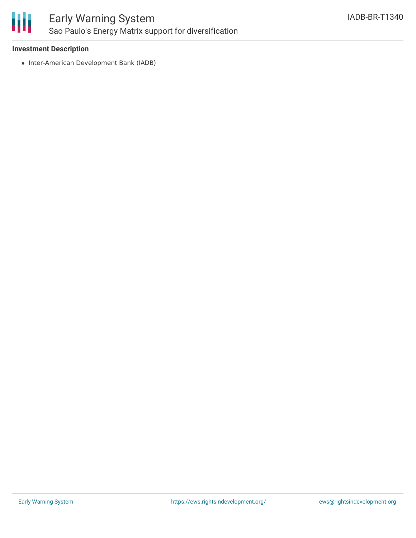

### Early Warning System Sao Paulo's Energy Matrix support for diversification

#### **Investment Description**

• Inter-American Development Bank (IADB)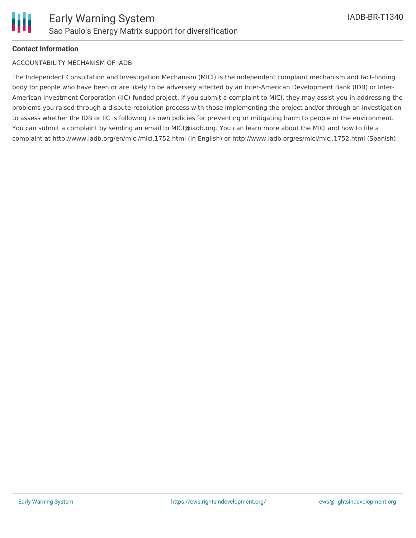#### **Contact Information**

#### ACCOUNTABILITY MECHANISM OF IADB

The Independent Consultation and Investigation Mechanism (MICI) is the independent complaint mechanism and fact-finding body for people who have been or are likely to be adversely affected by an Inter-American Development Bank (IDB) or Inter-American Investment Corporation (IIC)-funded project. If you submit a complaint to MICI, they may assist you in addressing the problems you raised through a dispute-resolution process with those implementing the project and/or through an investigation to assess whether the IDB or IIC is following its own policies for preventing or mitigating harm to people or the environment. You can submit a complaint by sending an email to MICI@iadb.org. You can learn more about the MICI and how to file a complaint at http://www.iadb.org/en/mici/mici,1752.html (in English) or http://www.iadb.org/es/mici/mici,1752.html (Spanish).